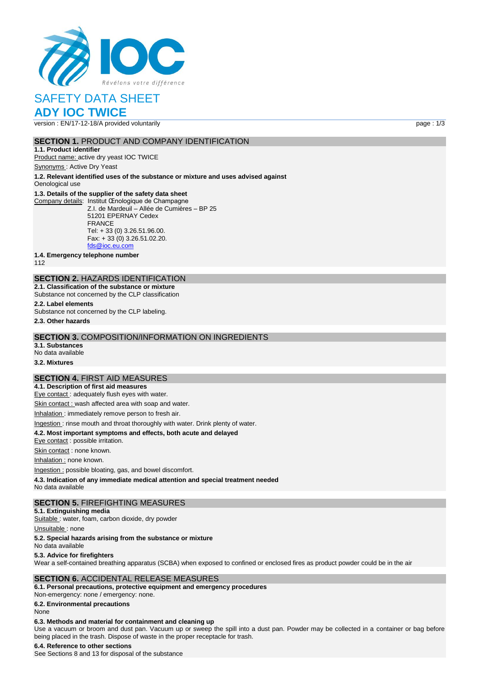

# SAFETY DATA SHEET **ADY IOC TWICE**

# version : EN/17-12-18/A provided voluntarily page : 1/3

### **SECTION 1. PRODUCT AND COMPANY IDENTIFICATION**

**1.1. Product identifier** Product name: active dry yeast IOC TWICE

Synonyms : Active Dry Yeast

**1.2. Relevant identified uses of the substance or mixture and uses advised against** Oenological use

### **1.3. Details of the supplier of the safety data sheet**

Company details: Institut Œnologique de Champagne Z.I. de Mardeuil – Allée de Cumières – BP 25 51201 EPERNAY Cedex FRANCE Tel: + 33 (0) 3.26.51.96.00. Fax: + 33 (0) 3.26.51.02.20. [fds@ioc.eu.com](mailto:fds@ioc.eu.com)

**1.4. Emergency telephone number**

112

# **SECTION 2.** HAZARDS IDENTIFICATION

**2.1. Classification of the substance or mixture**

Substance not concerned by the CLP classification

# **2.2. Label elements**

Substance not concerned by the CLP labeling.

**2.3. Other hazards**

### **SECTION 3.** COMPOSITION/INFORMATION ON INGREDIENTS

**3.1. Substances** No data available

# **3.2. Mixtures**

### **SECTION 4.** FIRST AID MEASURES

**4.1. Description of first aid measures** Eye contact : adequately flush eyes with water.

Skin contact : wash affected area with soap and water.

Inhalation : immediately remove person to fresh air.

### Ingestion : rinse mouth and throat thoroughly with water. Drink plenty of water.

**4.2. Most important symptoms and effects, both acute and delayed**

Eye contact : possible irritation.

Skin contact : none known.

Inhalation : none known.

Ingestion : possible bloating, gas, and bowel discomfort.

**4.3. Indication of any immediate medical attention and special treatment needed**

No data available

### **SECTION 5.** FIREFIGHTING MEASURES

**5.1. Extinguishing media**

Suitable : water, foam, carbon dioxide, dry powder

Unsuitable: none

### **5.2. Special hazards arising from the substance or mixture**

No data available

### **5.3. Advice for firefighters**

Wear a self-contained breathing apparatus (SCBA) when exposed to confined or enclosed fires as product powder could be in the air

### **SECTION 6.** ACCIDENTAL RELEASE MEASURES

**6.1. Personal precautions, protective equipment and emergency procedures** Non‐emergency: none / emergency: none.

**6.2. Environmental precautions**

### None

### **6.3. Methods and material for containment and cleaning up**

Use a vacuum or broom and dust pan. Vacuum up or sweep the spill into a dust pan. Powder may be collected in a container or bag before being placed in the trash. Dispose of waste in the proper receptacle for trash.

### **6.4. Reference to other sections**

See Sections 8 and 13 for disposal of the substance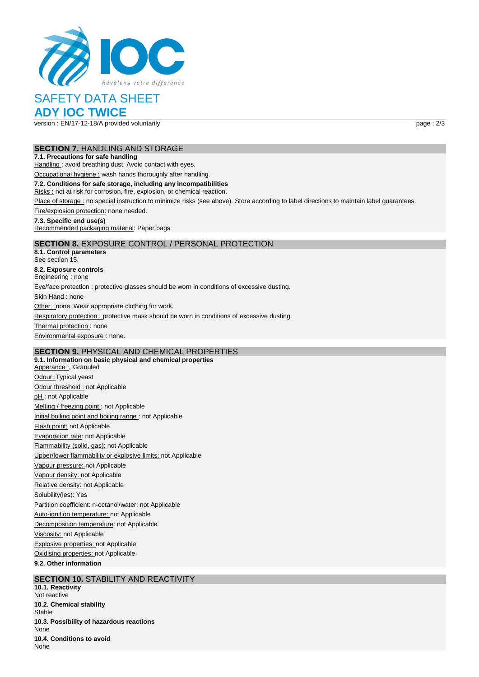

# SAFETY DATA SHEET

**ADY IOC TWICE**

version : EN/17-12-18/A provided voluntarily page : 2/3

### **SECTION 7.** HANDLING AND STORAGE

### **7.1. Precautions for safe handling**

Handling : avoid breathing dust. Avoid contact with eyes.

Occupational hygiene : wash hands thoroughly after handling.

### **7.2. Conditions for safe storage, including any incompatibilities**

Risks : not at risk for corrosion, fire, explosion, or chemical reaction.

Place of storage : no special instruction to minimize risks (see above). Store according to label directions to maintain label guarantees.

Fire/explosion protection: none needed.

### **7.3. Specific end use(s)**

Recommended packaging material: Paper bags.

# **SECTION 8.** EXPOSURE CONTROL / PERSONAL PROTECTION

**8.1. Control parameters** See section 15. **8.2. Exposure controls** Engineering : none Eye/face protection : protective glasses should be worn in conditions of excessive dusting. Skin Hand : none Other : none. Wear appropriate clothing for work. Respiratory protection : protective mask should be worn in conditions of excessive dusting. Thermal protection: none Environmental exposure : none.

# **SECTION 9.** PHYSICAL AND CHEMICAL PROPERTIES

**9.1. Information on basic physical and chemical properties** Apperance : Granuled Odour :Typical yeast Odour threshold : not Applicable pH: not Applicable Melting / freezing point : not Applicable Initial boiling point and boiling range : not Applicable Flash point: not Applicable Evaporation rate: not Applicable Flammability (solid, gas): not Applicable Upper/lower flammability or explosive limits: not Applicable Vapour pressure: not Applicable Vapour density: not Applicable Relative density: not Applicable Solubility(ies): Yes Partition coefficient: n-octanol/water: not Applicable Auto-ignition temperature: not Applicable Decomposition temperature: not Applicable Viscosity: not Applicable Explosive properties: not Applicable Oxidising properties: not Applicable **9.2. Other information**

### **SECTION 10. STABILITY AND REACTIVITY**

**10.1. Reactivity** Not reactive **10.2. Chemical stability** Stable **10.3. Possibility of hazardous reactions** None **10.4. Conditions to avoid** None